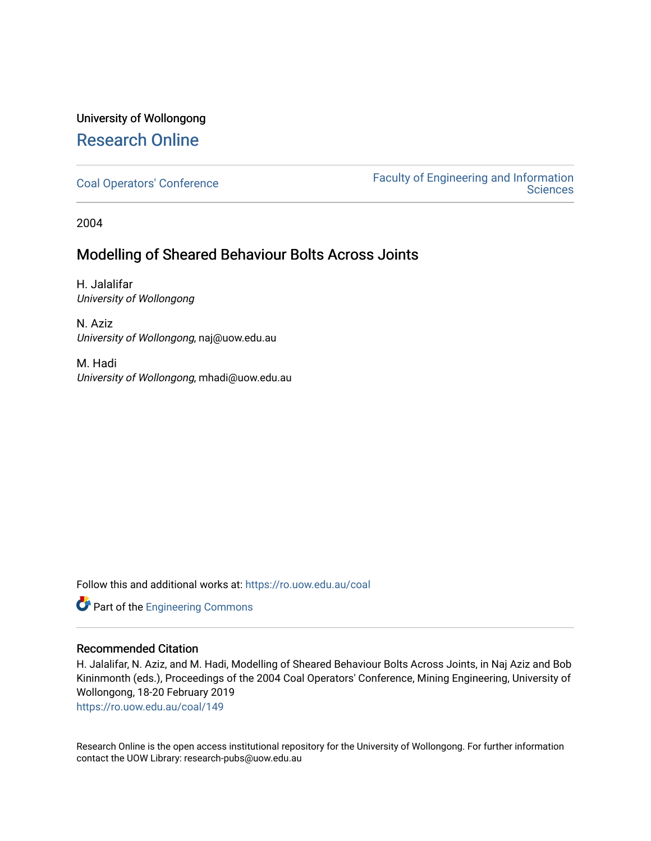## University of Wollongong [Research Online](https://ro.uow.edu.au/)

[Coal Operators' Conference](https://ro.uow.edu.au/coal) [Faculty of Engineering and Information](https://ro.uow.edu.au/eis)  **Sciences** 

2004

### Modelling of Sheared Behaviour Bolts Across Joints

H. Jalalifar University of Wollongong

N. Aziz University of Wollongong, naj@uow.edu.au

M. Hadi University of Wollongong, mhadi@uow.edu.au

Follow this and additional works at: [https://ro.uow.edu.au/coal](https://ro.uow.edu.au/coal?utm_source=ro.uow.edu.au%2Fcoal%2F149&utm_medium=PDF&utm_campaign=PDFCoverPages) 

Part of the [Engineering Commons](http://network.bepress.com/hgg/discipline/217?utm_source=ro.uow.edu.au%2Fcoal%2F149&utm_medium=PDF&utm_campaign=PDFCoverPages)

### Recommended Citation

H. Jalalifar, N. Aziz, and M. Hadi, Modelling of Sheared Behaviour Bolts Across Joints, in Naj Aziz and Bob Kininmonth (eds.), Proceedings of the 2004 Coal Operators' Conference, Mining Engineering, University of Wollongong, 18-20 February 2019

[https://ro.uow.edu.au/coal/149](https://ro.uow.edu.au/coal/149?utm_source=ro.uow.edu.au%2Fcoal%2F149&utm_medium=PDF&utm_campaign=PDFCoverPages) 

Research Online is the open access institutional repository for the University of Wollongong. For further information contact the UOW Library: research-pubs@uow.edu.au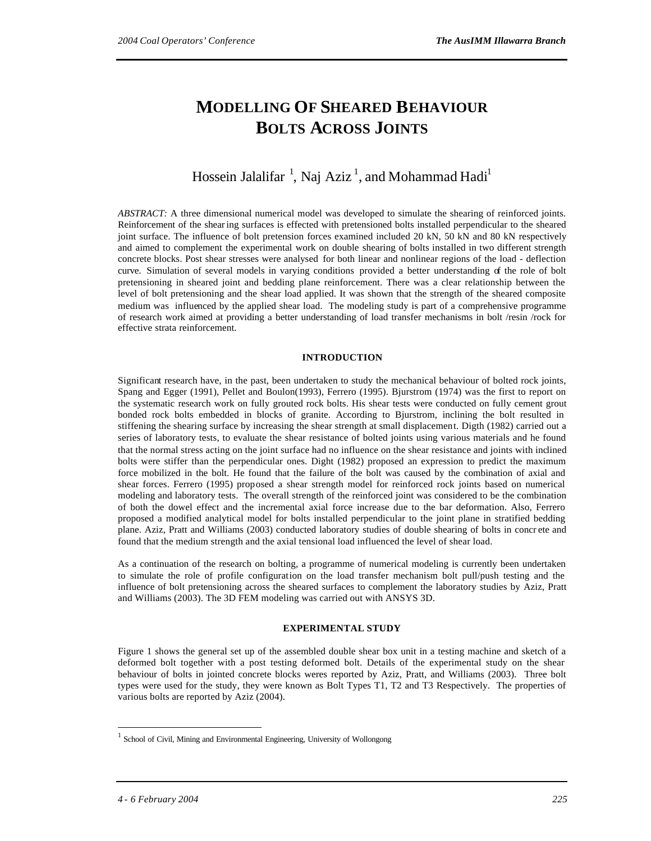# **MODELLING OF SHEARED BEHAVIOUR BOLTS ACROSS JOINTS**

Hossein Jalalifar  $^1$ , Naj Aziz $^1$ , and Mohammad Hadi $^1$ 

*ABSTRACT:* A three dimensional numerical model was developed to simulate the shearing of reinforced joints. Reinforcement of the shearing surfaces is effected with pretensioned bolts installed perpendicular to the sheared joint surface. The influence of bolt pretension forces examined included 20 kN, 50 kN and 80 kN respectively and aimed to complement the experimental work on double shearing of bolts installed in two different strength concrete blocks. Post shear stresses were analysed for both linear and nonlinear regions of the load - deflection curve. Simulation of several models in varying conditions provided a better understanding of the role of bolt pretensioning in sheared joint and bedding plane reinforcement. There was a clear relationship between the level of bolt pretensioning and the shear load applied. It was shown that the strength of the sheared composite medium was influenced by the applied shear load. The modeling study is part of a comprehensive programme of research work aimed at providing a better understanding of load transfer mechanisms in bolt /resin /rock for effective strata reinforcement.

#### **INTRODUCTION**

Significant research have, in the past, been undertaken to study the mechanical behaviour of bolted rock joints, Spang and Egger (1991), Pellet and Boulon(1993), Ferrero (1995). Bjurstrom (1974) was the first to report on the systematic research work on fully grouted rock bolts. His shear tests were conducted on fully cement grout bonded rock bolts embedded in blocks of granite. According to Bjurstrom, inclining the bolt resulted in stiffening the shearing surface by increasing the shear strength at small displacement. Digth (1982) carried out a series of laboratory tests, to evaluate the shear resistance of bolted joints using various materials and he found that the normal stress acting on the joint surface had no influence on the shear resistance and joints with inclined bolts were stiffer than the perpendicular ones. Dight (1982) proposed an expression to predict the maximum force mobilized in the bolt. He found that the failure of the bolt was caused by the combination of axial and shear forces. Ferrero (1995) proposed a shear strength model for reinforced rock joints based on numerical modeling and laboratory tests. The overall strength of the reinforced joint was considered to be the combination of both the dowel effect and the incremental axial force increase due to the bar deformation. Also, Ferrero proposed a modified analytical model for bolts installed perpendicular to the joint plane in stratified bedding plane. Aziz, Pratt and Williams (2003) conducted laboratory studies of double shearing of bolts in concr ete and found that the medium strength and the axial tensional load influenced the level of shear load.

As a continuation of the research on bolting, a programme of numerical modeling is currently been undertaken to simulate the role of profile configuration on the load transfer mechanism bolt pull/push testing and the influence of bolt pretensioning across the sheared surfaces to complement the laboratory studies by Aziz, Pratt and Williams (2003). The 3D FEM modeling was carried out with ANSYS 3D.

#### **EXPERIMENTAL STUDY**

Figure 1 shows the general set up of the assembled double shear box unit in a testing machine and sketch of a deformed bolt together with a post testing deformed bolt. Details of the experimental study on the shear behaviour of bolts in jointed concrete blocks weres reported by Aziz, Pratt, and Williams (2003). Three bolt types were used for the study, they were known as Bolt Types T1, T2 and T3 Respectively. The properties of various bolts are reported by Aziz (2004).

 $\overline{a}$ 

<sup>1</sup> School of Civil, Mining and Environmental Engineering, University of Wollongong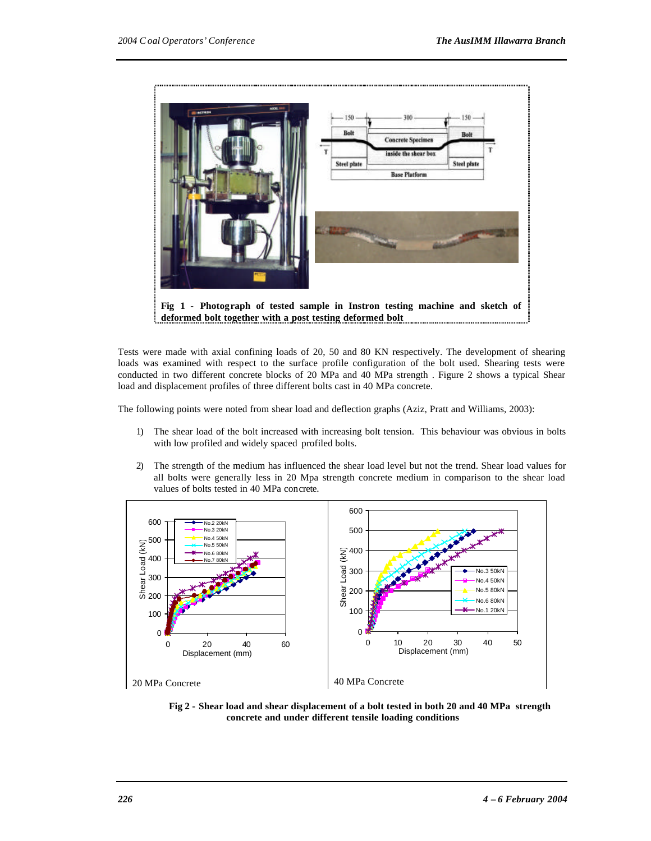

Tests were made with axial confining loads of 20, 50 and 80 KN respectively. The development of shearing loads was examined with respect to the surface profile configuration of the bolt used. Shearing tests were conducted in two different concrete blocks of 20 MPa and 40 MPa strength . Figure 2 shows a typical Shear load and displacement profiles of three different bolts cast in 40 MPa concrete.

The following points were noted from shear load and deflection graphs (Aziz, Pratt and Williams, 2003):

- 1) The shear load of the bolt increased with increasing bolt tension. This behaviour was obvious in bolts with low profiled and widely spaced profiled bolts.
- 2) The strength of the medium has influenced the shear load level but not the trend. Shear load values for all bolts were generally less in 20 Mpa strength concrete medium in comparison to the shear load values of bolts tested in 40 MPa concrete.



**Fig 2 - Shear load and shear displacement of a bolt tested in both 20 and 40 MPa strength concrete and under different tensile loading conditions**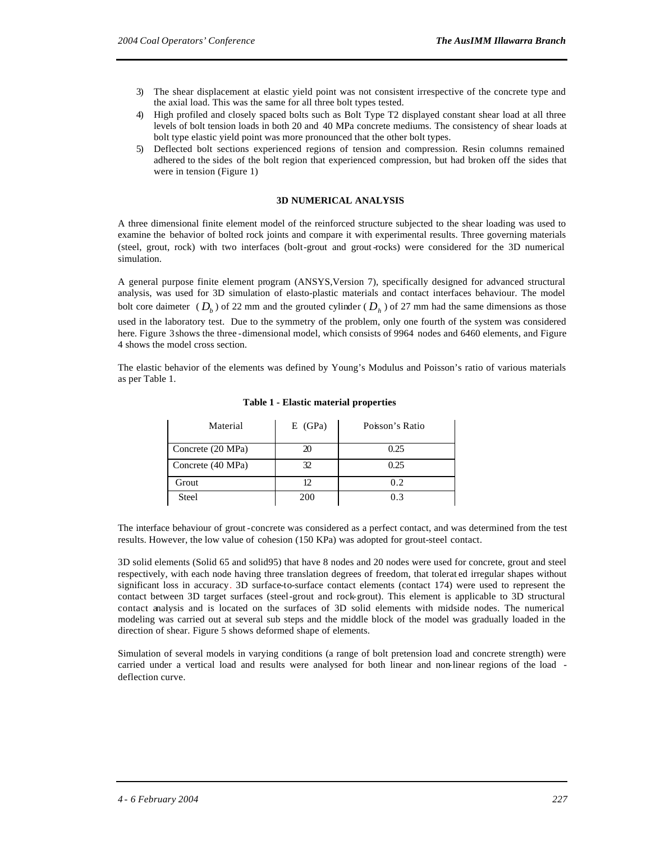- 3) The shear displacement at elastic yield point was not consistent irrespective of the concrete type and the axial load. This was the same for all three bolt types tested.
- 4) High profiled and closely spaced bolts such as Bolt Type T2 displayed constant shear load at all three levels of bolt tension loads in both 20 and 40 MPa concrete mediums. The consistency of shear loads at bolt type elastic yield point was more pronounced that the other bolt types.
- 5) Deflected bolt sections experienced regions of tension and compression. Resin columns remained adhered to the sides of the bolt region that experienced compression, but had broken off the sides that were in tension (Figure 1)

#### **3D NUMERICAL ANALYSIS**

A three dimensional finite element model of the reinforced structure subjected to the shear loading was used to examine the behavior of bolted rock joints and compare it with experimental results. Three governing materials (steel, grout, rock) with two interfaces (bolt-grout and grout-rocks) were considered for the 3D numerical simulation.

A general purpose finite element program (ANSYS,Version 7), specifically designed for advanced structural analysis, was used for 3D simulation of elasto-plastic materials and contact interfaces behaviour. The model bolt core daimeter ( $D_b$ ) of 22 mm and the grouted cylinder ( $D_h$ ) of 27 mm had the same dimensions as those used in the laboratory test. Due to the symmetry of the problem, only one fourth of the system was considered here. Figure 3 shows the three -dimensional model, which consists of 9964 nodes and 6460 elements, and Figure 4 shows the model cross section.

The elastic behavior of the elements was defined by Young's Modulus and Poisson's ratio of various materials as per Table 1.

| Material          | $E$ (GPa) | Poisson's Ratio |
|-------------------|-----------|-----------------|
| Concrete (20 MPa) | 20        | 0.25            |
| Concrete (40 MPa) | 32        | 0.25            |
| Grout             | 12.       | 0.2             |
| <b>Steel</b>      | 200       | 0.3             |

#### **Table 1 - Elastic material properties**

The interface behaviour of grout-concrete was considered as a perfect contact, and was determined from the test results. However, the low value of cohesion (150 KPa) was adopted for grout-steel contact.

3D solid elements (Solid 65 and solid95) that have 8 nodes and 20 nodes were used for concrete, grout and steel respectively, with each node having three translation degrees of freedom, that tolerat ed irregular shapes without significant loss in accuracy. 3D surface-to-surface contact elements (contact 174) were used to represent the contact between 3D target surfaces (steel-grout and rock-grout). This element is applicable to 3D structural contact analysis and is located on the surfaces of 3D solid elements with midside nodes. The numerical modeling was carried out at several sub steps and the middle block of the model was gradually loaded in the direction of shear. Figure 5 shows deformed shape of elements.

Simulation of several models in varying conditions (a range of bolt pretension load and concrete strength) were carried under a vertical load and results were analysed for both linear and non-linear regions of the load deflection curve.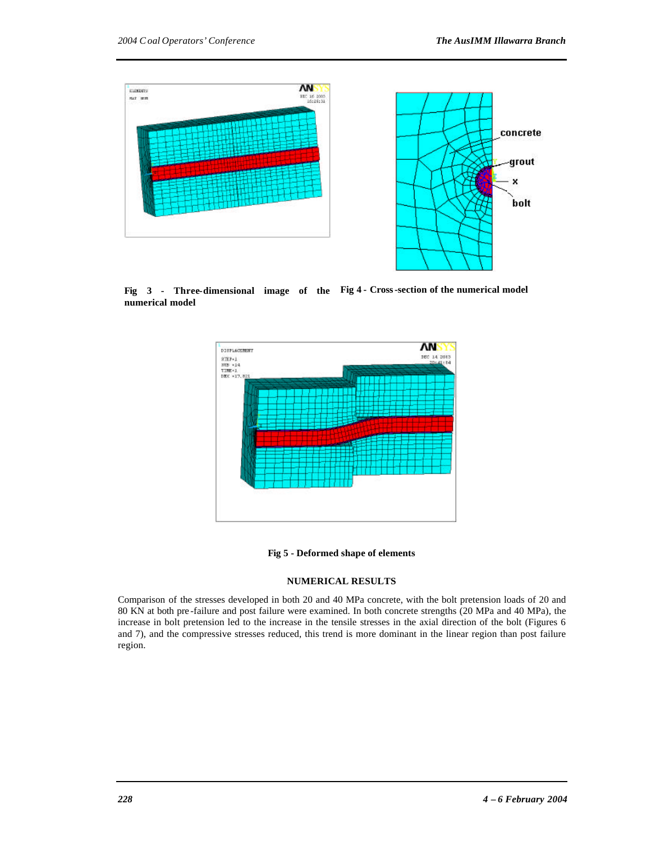

**Fig 3 - Three-dimensional image of the Fig 4 - Cross-section of the numerical model numerical model** 





#### **NUMERICAL RESULTS**

Comparison of the stresses developed in both 20 and 40 MPa concrete, with the bolt pretension loads of 20 and 80 KN at both pre -failure and post failure were examined. In both concrete strengths (20 MPa and 40 MPa), the increase in bolt pretension led to the increase in the tensile stresses in the axial direction of the bolt (Figures 6 and 7), and the compressive stresses reduced, this trend is more dominant in the linear region than post failure region.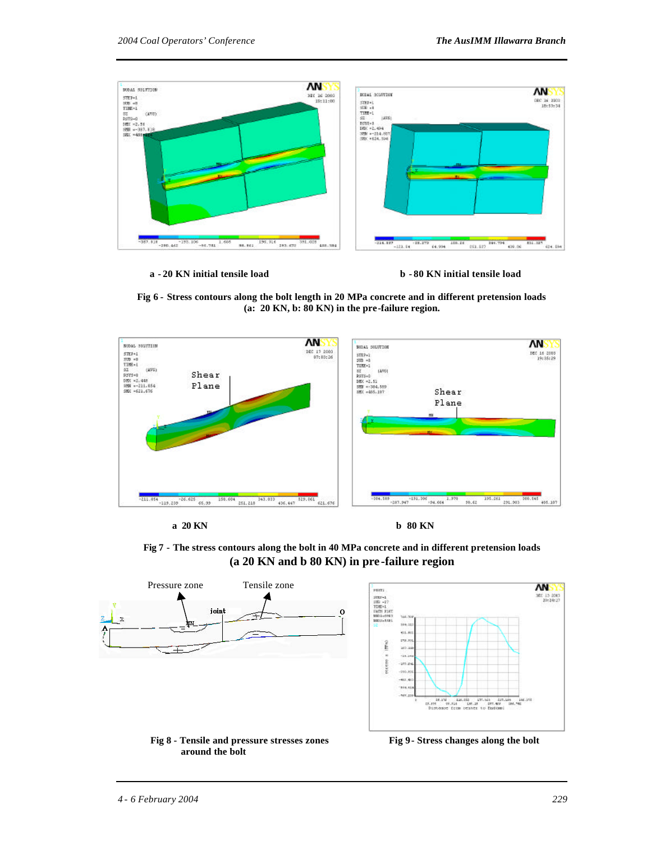

 **a - 20 KN initial tensile load b - 80 KN initial tensile load**





**Fig 7 - The stress contours along the bolt in 40 MPa concrete and in different pretension loads (a 20 KN and b 80 KN) in pre -failure region**

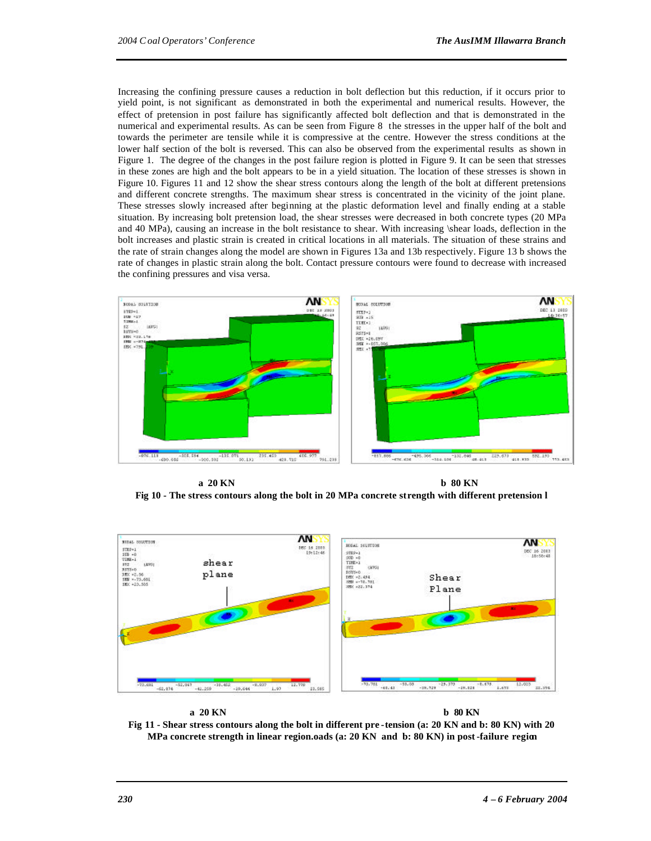Increasing the confining pressure causes a reduction in bolt deflection but this reduction, if it occurs prior to yield point, is not significant as demonstrated in both the experimental and numerical results. However, the effect of pretension in post failure has significantly affected bolt deflection and that is demonstrated in the numerical and experimental results. As can be seen from Figure 8 the stresses in the upper half of the bolt and towards the perimeter are tensile while it is compressive at the centre. However the stress conditions at the lower half section of the bolt is reversed. This can also be observed from the experimental results as shown in Figure 1. The degree of the changes in the post failure region is plotted in Figure 9. It can be seen that stresses in these zones are high and the bolt appears to be in a yield situation. The location of these stresses is shown in Figure 10. Figures 11 and 12 show the shear stress contours along the length of the bolt at different pretensions and different concrete strengths. The maximum shear stress is concentrated in the vicinity of the joint plane. These stresses slowly increased after beginning at the plastic deformation level and finally ending at a stable situation. By increasing bolt pretension load, the shear stresses were decreased in both concrete types (20 MPa and 40 MPa), causing an increase in the bolt resistance to shear. With increasing \shear loads, deflection in the bolt increases and plastic strain is created in critical locations in all materials. The situation of these strains and the rate of strain changes along the model are shown in Figures 13a and 13b respectively. Figure 13 b shows the rate of changes in plastic strain along the bolt. Contact pressure contours were found to decrease with increased the confining pressures and visa versa.



**a 20 KN b 80 KN Fig 10 - The stress contours along the bolt in 20 MPa concrete strength with different pretension l**





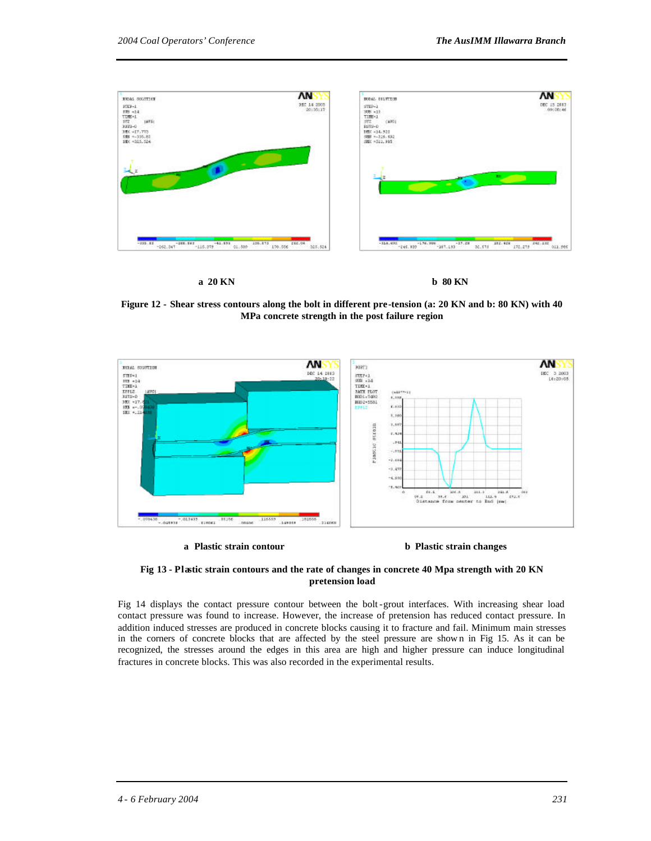

#### **a 20 KN b 80 KN**

**Figure 12 - Shear stress contours along the bolt in different pre-tension (a: 20 KN and b: 80 KN) with 40 MPa concrete strength in the post failure region**



 **a Plastic strain contour b Plastic strain changes**



Fig 14 displays the contact pressure contour between the bolt-grout interfaces. With increasing shear load contact pressure was found to increase. However, the increase of pretension has reduced contact pressure. In addition induced stresses are produced in concrete blocks causing it to fracture and fail. Minimum main stresses in the corners of concrete blocks that are affected by the steel pressure are show n in Fig 15. As it can be recognized, the stresses around the edges in this area are high and higher pressure can induce longitudinal fractures in concrete blocks. This was also recorded in the experimental results.